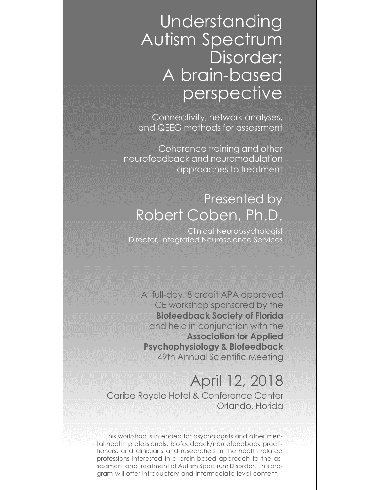# Understanding Autism Spectrum Disorder: A brain-based perspective

Connectivity, network analyses, and QEEG methods for assessment

Coherence training and other neurofeedback and neuromodulation approaches to treatment

#### Presented by Robert Coben, Ph.D.

Clinical Neuropsychologist Director, Integrated Neuroscience Services

A full-day, 8 credit APA approved CE workshop sponsored by the Biofeedback Society of Florida and held in conjunction with the Association for Applied Psychophysiology & Biofeedback 49th Annual Scientific Meeting

## April 12, 2018

Caribe Royale Hotel & Conference Center Orlando, Florida

This workshop is intended for psychologists and other mental health professionals, biofeedback/neurofeedback practitioners, and clinicians and researchers in the health related professions interested in a brain-based approach to the assessment and treatment of Autism Spectrum Disorder. This program will offer introductory and intermediate level content.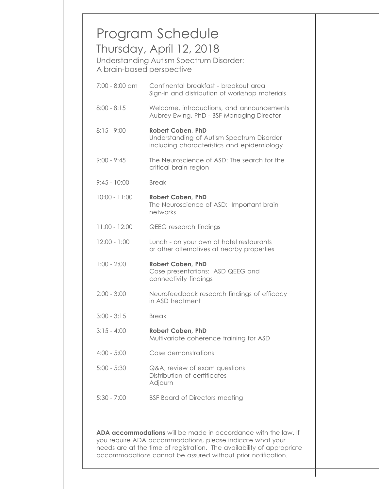|                 | Thursday, April 12, 2018<br>Understanding Autism Spectrum Disorder:<br>A brain-based perspective                    |
|-----------------|---------------------------------------------------------------------------------------------------------------------|
| 7:00 - 8:00 am  | Continental breakfast - breakout area<br>Sign-in and distribution of workshop materials                             |
| $8:00 - 8:15$   | Welcome, introductions, and announcements<br>Aubrey Ewing, PhD - BSF Managing Director                              |
| $8:15 - 9:00$   | <b>Robert Coben, PhD</b><br>Understanding of Autism Spectrum Disorder<br>including characteristics and epidemiology |
| $9:00 - 9:45$   | The Neuroscience of ASD: The search for the<br>critical brain region                                                |
| $9:45 - 10:00$  | <b>Break</b>                                                                                                        |
| $10:00 - 11:00$ | <b>Robert Coben, PhD</b><br>The Neuroscience of ASD: Important brain<br>networks                                    |
| $11:00 - 12:00$ | <b>QEEG</b> research findings                                                                                       |
| $12:00 - 1:00$  | Lunch - on your own at hotel restaurants<br>or other alternatives at nearby properties                              |
| $1:00 - 2:00$   | <b>Robert Coben, PhD</b><br>Case presentations: ASD QEEG and<br>connectivity findings                               |
| $2:00 - 3:00$   | Neurofeedback research findings of efficacy<br>in ASD treatment                                                     |
| $3:00 - 3:15$   | <b>Break</b>                                                                                                        |
| $3:15 - 4:00$   | <b>Robert Coben, PhD</b><br>Multivariate coherence training for ASD                                                 |
| $4:00 - 5:00$   | Case demonstrations                                                                                                 |
| $5:00 - 5:30$   | Q&A, review of exam questions<br>Distribution of certificates<br>Adjourn                                            |
| $5:30 - 7:00$   | <b>BSF Board of Directors meeting</b>                                                                               |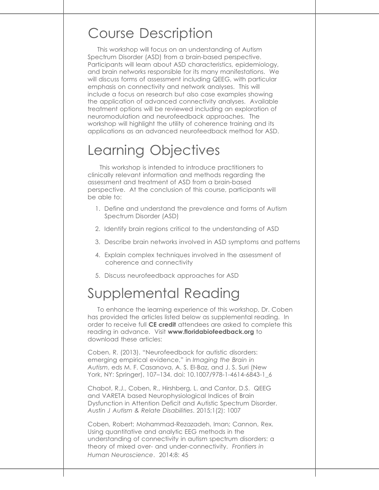#### Course Description

This workshop will focus on an understanding of Autism Spectrum Disorder (ASD) from a brain-based perspective. Participants will learn about ASD characteristics, epidemiology, and brain networks responsible for its many manifestations. We will discuss forms of assessment including QEEG, with particular emphasis on connectivity and network analyses. This will include a focus on research but also case examples showing the application of advanced connectivity analyses. Available treatment options will be reviewed including an exploration of neuromodulation and neurofeedback approaches. The workshop will highlight the utility of coherence training and its applications as an advanced neurofeedback method for ASD.

## Learning Objectives

This workshop is intended to introduce practitioners to clinically relevant information and methods regarding the assessment and treatment of ASD from a brain-based perspective. At the conclusion of this course, participants will be able to:

- 1. Define and understand the prevalence and forms of Autism Spectrum Disorder (ASD)
- 2. Identify brain regions critical to the understanding of ASD
- 3. Describe brain networks involved in ASD symptoms and patterns
- 4. Explain complex techniques involved in the assessment of coherence and connectivity
- 5. Discuss neurofeedback approaches for ASD

## Supplemental Reading

To enhance the learning experience of this workshop, Dr. Coben has provided the articles listed below as supplemental reading. In order to receive full **CE credit** attendees are asked to complete this reading in advance. Visit www.floridabiofeedback.org to download these articles:

Coben, R. (2013). "Neurofeedback for autistic disorders: emerging empirical evidence," in Imaging the Brain in Autism, eds M. F. Casanova, A. S. El-Baz, and J. S. Suri (New York, NY: Springer), 107–134. doi: 10.1007/978-1-4614-6843-1\_6

Chabot, R.J., Coben, R., Hirshberg, L. and Cantor, D.S. QEEG and VARETA based Neurophysiological Indices of Brain Dysfunction in Attention Deficit and Autistic Spectrum Disorder. Austin J Autism & Relate Disabilities. 2015;1(2): 1007

Coben, Robert; Mohammad-Rezazadeh, Iman; Cannon, Rex. Using quantitative and analytic EEG methods in the understanding of connectivity in autism spectrum disorders: a theory of mixed over- and under-connectivity. Frontiers in Human Neuroscience. 2014;8: 45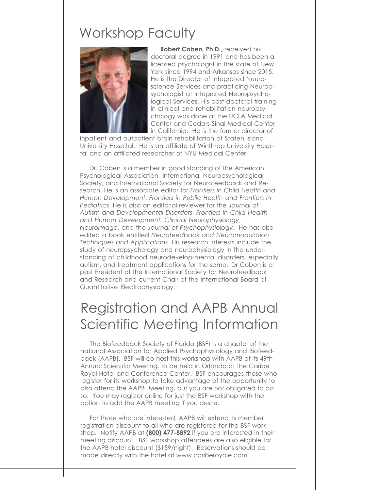#### Workshop Faculty



Robert Coben, Ph.D., received his doctoral degree in 1991 and has been a licensed psychologist in the state of New York since 1994 and Arkansas since 2015. He is the Director of Integrated Neuroscience Services and practicing Neuropsychologist at Integrated Neuropsychological Services. His post-doctoral training in clinical and rehabilitation neuropsychology was done at the UCLA Medical Center and Cedars-Sinai Medical Center in California. He is the former director of

inpatient and outpatient brain rehabilitation at Staten Island University Hospital. He is an affiliate of Winthrop University Hospital and an affiliated researcher of NYU Medical Center.

Dr. Coben is a member in good standing of the American Psychological Association, International Neuropsychological Society, and International Society for Neurofeedback and Research. He is an associate editor for Frontiers in Child Health and Human Development, Frontiers in Public Health and Frontiers in Pediatrics. He is also an editorial reviewer for the Journal of Autism and Developmental Disorders, Frontiers in Child Health and Human Development, Clinical Neurophysiology, Neuroimage, and the Journal of Psychophysiology. He has also edited a book entitled Neurofeedback and Neuromodulation Techniques and Applications. His research interests include the study of neuropsychology and neurophysiology in the understanding of childhood neurodevelop-mental disorders, especially autism, and treatment applications for the same. Dr Coben is a past President of the International Society for Neurofeedback and Research and current Chair of the International Board of Quantitative Electrophysiology.

### Registration and AAPB Annual Scientific Meeting Information

The Biofeedback Society of Florida (BSF) is a chapter of the national Association for Applied Psychophysiology and Biofeedback (AAPB). BSF will co-host this workshop with AAPB at its 49th Annual Scientific Meeting, to be held in Orlando at the Caribe Royal Hotel and Conference Center. BSF encourages those who register for its workshop to take advantage of the opportunity to also attend the AAPB Meeting, but you are not obligated to do so. You may register online for just the BSF workshop with the option to add the AAPB meeting if you desire.

For those who are interested, AAPB will extend its member registration discount to all who are registered for the BSF workshop. Notify AAPB at (800) 477-8892 if you are interested in their meeting discount. BSF workshop attendees are also eligible for the AAPB hotel discount (\$159/night). Reservations should be made directly with the hotel at www.cariberoyale.com.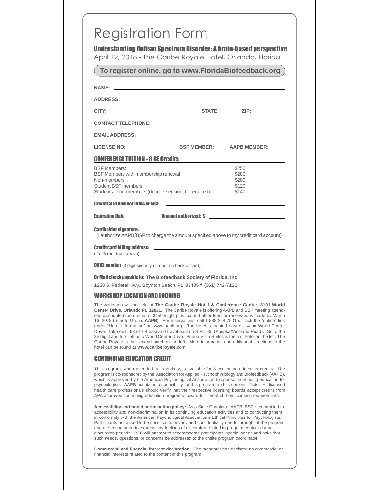|                                                                                                                | <b>Understanding Autism Spectrum Disorder: A brain-based perspective</b><br>April 12, 2018 - The Caribe Royale Hotel, Orlando, Florida                                                                                                                                                                                                                                                                                                                                                                                                                                                                                                                                                                                                                                                                       |  |  |
|----------------------------------------------------------------------------------------------------------------|--------------------------------------------------------------------------------------------------------------------------------------------------------------------------------------------------------------------------------------------------------------------------------------------------------------------------------------------------------------------------------------------------------------------------------------------------------------------------------------------------------------------------------------------------------------------------------------------------------------------------------------------------------------------------------------------------------------------------------------------------------------------------------------------------------------|--|--|
| To register online, go to www.FloridaBiofeedback.org                                                           |                                                                                                                                                                                                                                                                                                                                                                                                                                                                                                                                                                                                                                                                                                                                                                                                              |  |  |
| NAME: NAME AND A CONTRACT A CONTRACT OF THE CONTRACT OF THE CONTRACT OF THE CONTRACT OF THE CONTRACT OF THE CO |                                                                                                                                                                                                                                                                                                                                                                                                                                                                                                                                                                                                                                                                                                                                                                                                              |  |  |
|                                                                                                                |                                                                                                                                                                                                                                                                                                                                                                                                                                                                                                                                                                                                                                                                                                                                                                                                              |  |  |
|                                                                                                                |                                                                                                                                                                                                                                                                                                                                                                                                                                                                                                                                                                                                                                                                                                                                                                                                              |  |  |
|                                                                                                                |                                                                                                                                                                                                                                                                                                                                                                                                                                                                                                                                                                                                                                                                                                                                                                                                              |  |  |
|                                                                                                                |                                                                                                                                                                                                                                                                                                                                                                                                                                                                                                                                                                                                                                                                                                                                                                                                              |  |  |
|                                                                                                                |                                                                                                                                                                                                                                                                                                                                                                                                                                                                                                                                                                                                                                                                                                                                                                                                              |  |  |
| <b>CONFERENCE TUITION - 8 CE Credits</b>                                                                       |                                                                                                                                                                                                                                                                                                                                                                                                                                                                                                                                                                                                                                                                                                                                                                                                              |  |  |
| <b>BSF Members:</b>                                                                                            | \$250.                                                                                                                                                                                                                                                                                                                                                                                                                                                                                                                                                                                                                                                                                                                                                                                                       |  |  |
| BSF Members with membership renewal                                                                            | \$280.                                                                                                                                                                                                                                                                                                                                                                                                                                                                                                                                                                                                                                                                                                                                                                                                       |  |  |
| Non-members:                                                                                                   | \$280.                                                                                                                                                                                                                                                                                                                                                                                                                                                                                                                                                                                                                                                                                                                                                                                                       |  |  |
| Student BSF members:<br>Students - non-members (degree-seeking, ID required):                                  | \$120.<br>\$140.                                                                                                                                                                                                                                                                                                                                                                                                                                                                                                                                                                                                                                                                                                                                                                                             |  |  |
| <b>Credit Card Number (VISA or MC):</b>                                                                        |                                                                                                                                                                                                                                                                                                                                                                                                                                                                                                                                                                                                                                                                                                                                                                                                              |  |  |
|                                                                                                                |                                                                                                                                                                                                                                                                                                                                                                                                                                                                                                                                                                                                                                                                                                                                                                                                              |  |  |
|                                                                                                                |                                                                                                                                                                                                                                                                                                                                                                                                                                                                                                                                                                                                                                                                                                                                                                                                              |  |  |
| (if different from above)                                                                                      |                                                                                                                                                                                                                                                                                                                                                                                                                                                                                                                                                                                                                                                                                                                                                                                                              |  |  |
|                                                                                                                | <b>CVV2 number</b> (3 digit security number on back of card): $\frac{1}{2}$ <b>COVID COVID-100 COVID-100 COVID-100 COVID-100 COVID-100 COVID-100 COVID-100 COVID-100 COVID-100 COVID-100 COVID-100 COVID-100 C</b>                                                                                                                                                                                                                                                                                                                                                                                                                                                                                                                                                                                           |  |  |
| Or Mail check payable to: The Biofeedback Society of Florida, Inc.,                                            |                                                                                                                                                                                                                                                                                                                                                                                                                                                                                                                                                                                                                                                                                                                                                                                                              |  |  |
| 1230 S. Federal Hwy., Boynton Beach, FL 33435 <sup>.</sup> (561) 742-7122                                      |                                                                                                                                                                                                                                                                                                                                                                                                                                                                                                                                                                                                                                                                                                                                                                                                              |  |  |
| <b>WORKSHOP LOCATION AND LODGING</b>                                                                           |                                                                                                                                                                                                                                                                                                                                                                                                                                                                                                                                                                                                                                                                                                                                                                                                              |  |  |
| hotel can be found at www.cariberoyale.com.                                                                    | The workshop will be held at The Caribe Royale Hotel & Conference Center, 8101 World<br>Center Drive, Orlando FL 32821. The Caribe Royale is offering AAPB and BSF meeting attend-<br>ees discounted room rates of \$159./night plus tax and other fees for reservations made by March<br>16, 2018 (refer to Group: AAPB). For reservations, call 1-888-258-7501 or click the "online" link<br>under "Hotel Information" at www.aapb.org. The hotel is located east of I-4 on World Center<br>Drive. Take exit #68 off I-4 east and travel east on S.R. 535 (Apopka/Vineland Road). Go to the<br>3rd light and turn left onto World Center Drive. Buena Vista Suites is the first hotel on the left. The<br>Caribe Royale is the second hotel on the left. More information and additional directions to the |  |  |
| <b>CONTINUING EDUCATION CREDIT</b>                                                                             |                                                                                                                                                                                                                                                                                                                                                                                                                                                                                                                                                                                                                                                                                                                                                                                                              |  |  |
|                                                                                                                | This program, when attended in its entirety, is available for 8 continuing education credits. The<br>program is co-sponsored by the Association for Applied Psychophysiology and Biofeedback (AAPB),<br>which is approved by the American Psychological Association to sponsor continuing education for<br>psychologists. AAPB maintains responsibility for this program and its content. Note: All licensed<br>health care professionals should verify that their respective licensing boards accept credits from<br>APA approved continuing education programs toward fulfillment of their licensing requirements.                                                                                                                                                                                         |  |  |
|                                                                                                                | Accessibility and non-discrimination policy: As a State Chapter of AAPB, BSF is committed to<br>accessibility and non-discrimination in its continuing education activities and to conducting them<br>in conformity with the American Psychological Association's Ethical Principles for Psychologists.<br>Participants are asked to be sensitive to privacy and confidentiality needs throughout the program<br>and are encouraged to express any feelings of discomfort related to program content during<br>discussion periods. BSF will attempt to accommodate participants' special needs and asks that<br>such needs, questions, or concerns be addressed to the onsite program coordinator.                                                                                                           |  |  |
|                                                                                                                | <b>Commercial and financial interest declaration:</b> The presenter has declared no commercial or                                                                                                                                                                                                                                                                                                                                                                                                                                                                                                                                                                                                                                                                                                            |  |  |